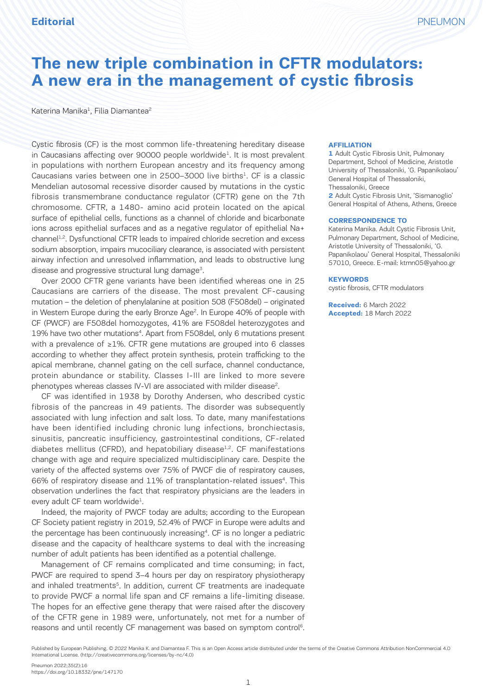# **The new triple combination in CFTR modulators: A new era in the management of cystic fibrosis**

Katerina Manika<sup>1</sup>, Filia Diamantea<sup>2</sup>

Cystic fibrosis (CF) is the most common life-threatening hereditary disease in Caucasians affecting over  $90000$  people worldwide<sup>1</sup>. It is most prevalent in populations with northern European ancestry and its frequency among Caucasians varies between one in 2500–3000 live births<sup>1</sup>. CF is a classic Mendelian autosomal recessive disorder caused by mutations in the cystic fibrosis transmembrane conductance regulator (CFTR) gene on the 7th chromosome. CFTR, a 1480- amino acid protein located on the apical surface of epithelial cells, functions as a channel of chloride and bicarbonate ions across epithelial surfaces and as a negative regulator of epithelial Na+ channel<sup>1,2</sup>. Dysfunctional CFTR leads to impaired chloride secretion and excess sodium absorption, impairs mucociliary clearance, is associated with persistent airway infection and unresolved inflammation, and leads to obstructive lung disease and progressive structural lung damage<sup>3</sup>.

Over 2000 CFTR gene variants have been identified whereas one in 25 Caucasians are carriers of the disease. The most prevalent CF-causing mutation – the deletion of phenylalanine at position 508 (F508del) – originated in Western Europe during the early Bronze Age<sup>2</sup>. In Europe 40% of people with CF (PWCF) are F508del homozygotes, 41% are F508del heterozygotes and 19% have two other mutations4. Apart from F508del, only 6 mutations present with a prevalence of ≥1%. CFTR gene mutations are grouped into 6 classes according to whether they affect protein synthesis, protein trafficking to the apical membrane, channel gating on the cell surface, channel conductance, protein abundance or stability. Classes I-III are linked to more severe phenotypes whereas classes IV-VI are associated with milder disease<sup>2</sup>.

CF was identified in 1938 by Dorothy Andersen, who described cystic fibrosis of the pancreas in 49 patients. The disorder was subsequently associated with lung infection and salt loss. To date, many manifestations have been identified including chronic lung infections, bronchiectasis, sinusitis, pancreatic insufficiency, gastrointestinal conditions, CF-related diabetes mellitus (CFRD), and hepatobiliary disease<sup>1,2</sup>. CF manifestations change with age and require specialized multidisciplinary care. Despite the variety of the affected systems over 75% of PWCF die of respiratory causes, 66% of respiratory disease and 11% of transplantation-related issues<sup>4</sup>. This observation underlines the fact that respiratory physicians are the leaders in every adult CF team worldwide<sup>1</sup>.

Indeed, the majority of PWCF today are adults; according to the European CF Society patient registry in 2019, 52.4% of PWCF in Europe were adults and the percentage has been continuously increasing<sup>4</sup>. CF is no longer a pediatric disease and the capacity of healthcare systems to deal with the increasing number of adult patients has been identified as a potential challenge.

Management of CF remains complicated and time consuming; in fact, PWCF are required to spend 3-4 hours per day on respiratory physiotherapy and inhaled treatments<sup>5</sup>. In addition, current CF treatments are inadequate to provide PWCF a normal life span and CF remains a life-limiting disease. The hopes for an effective gene therapy that were raised after the discovery of the CFTR gene in 1989 were, unfortunately, not met for a number of reasons and until recently CF management was based on symptom control<sup>6</sup>.

#### **AFFILIATION**

**1** Adult Cystic Fibrosis Unit, Pulmonary Department, School of Medicine, Aristotle University of Thessaloniki, 'G. Papanikolaou' General Hospital of Thessaloniki, Thessaloniki, Greece **2** Adult Cystic Fibrosis Unit, 'Sismanoglio' General Hospital of Athens, Athens, Greece

#### **CORRESPONDENCE TO**

Katerina Manika. Adult Cystic Fibrosis Unit, Pulmonary Department, School of Medicine, Aristotle University of Thessaloniki, 'G. Papanikolaou' General Hospital, Thessaloniki 57010, Greece. E-mail: ktmn05@yahoo.gr

#### **KEYWORDS**

cystic fibrosis, CFTR modulators

**Received:** 6 March 2022 **Accepted:** 18 March 2022

Published by European Publishing. © 2022 Manika K. and Diamantea F. This is an Open Access article distributed under the terms of the Creative Commons Attribution NonCommercial 4.0 International License. (http://creativecommons.org/licenses/by-nc/4.0)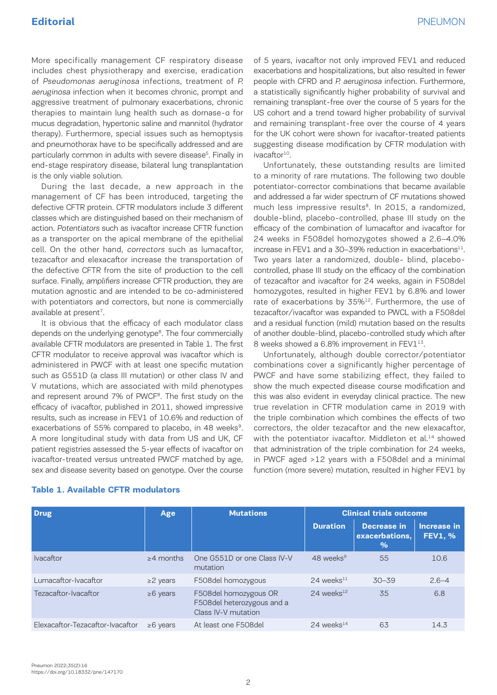More specifically management CF respiratory disease includes chest physiotherapy and exercise, eradication of Pseudomonas aeruginosa infections, treatment of P. aeruginosa infection when it becomes chronic, prompt and aggressive treatment of pulmonary exacerbations, chronic therapies to maintain lung health such as dornase-α for mucus degradation, hypertonic saline and mannitol (hydrator therapy). Furthermore, special issues such as hemoptysis and pneumothorax have to be specifically addressed and are particularly common in adults with severe disease<sup>5</sup>. Finally in end-stage respiratory disease, bilateral lung transplantation is the only viable solution.

During the last decade, a new approach in the management of CF has been introduced, targeting the defective CFTR protein. CFTR modulators include 3 different classes which are distinguished based on their mechanism of action. Potentiators such as ivacaftor increase CFTR function as a transporter on the apical membrane of the epithelial cell. On the other hand, correctors such as lumacaftor, tezacaftor and elexacaftor increase the transportation of the defective CFTR from the site of production to the cell surface. Finally, amplifiers increase CFTR production, they are mutation agnostic and are intended to be co-administered with potentiators and correctors, but none is commercially available at present<sup>7</sup>.

It is obvious that the efficacy of each modulator class depends on the underlying genotype<sup>8</sup>. The four commercially available CFTR modulators are presented in Table 1. The first CFTR modulator to receive approval was ivacaftor which is administered in PWCF with at least one specific mutation such as G551D (a class III mutation) or other class IV and V mutations, which are associated with mild phenotypes and represent around 7% of PWCF<sup>8</sup>. The first study on the efficacy of ivacaftor, published in 2011, showed impressive results, such as increase in FEV1 of 10.6% and reduction of exacerbations of 55% compared to placebo, in 48 weeks<sup>9</sup>. A more longitudinal study with data from US and UK, CF patient registries assessed the 5-year effects of ivacaftor on ivacaftor-treated versus untreated PWCF matched by age, sex and disease severity based on genotype. Over the course of 5 years, ivacaftor not only improved FEV1 and reduced exacerbations and hospitalizations, but also resulted in fewer people with CFRD and P. aeruginosa infection. Furthermore, a statistically significantly higher probability of survival and remaining transplant-free over the course of 5 years for the US cohort and a trend toward higher probability of survival and remaining transplant-free over the course of 4 years for the UK cohort were shown for ivacaftor-treated patients suggesting disease modification by CFTR modulation with ivacaftor<sup>10</sup>.

Unfortunately, these outstanding results are limited to a minority of rare mutations. The following two double potentiator-corrector combinations that became available and addressed a far wider spectrum of CF mutations showed much less impressive results<sup>8</sup>. In 2015, a randomized, double-blind, placebo-controlled, phase III study on the efficacy of the combination of lumacaftor and ivacaftor for 24 weeks in F508del homozygotes showed a 2.6–4.0% increase in FEV1 and a 30–39% reduction in exacerbations $11$ . Two years later a randomized, double- blind, placebocontrolled, phase III study on the efficacy of the combination of tezacaftor and ivacaftor for 24 weeks, again in F508del homozygotes, resulted in higher FEV1 by 6.8% and lower rate of exacerbations by 35%<sup>12</sup>. Furthermore, the use of tezacaftor/ivacaftor was expanded to PWCL with a F508del and a residual function (mild) mutation based on the results of another double-blind, placebo-controlled study which after 8 weeks showed a 6.8% improvement in FEV1<sup>13</sup>.

Unfortunately, although double corrector/potentiator combinations cover a significantly higher percentage of PWCF and have some stabilizing effect, they failed to show the much expected disease course modification and this was also evident in everyday clinical practice. The new true revelation in CFTR modulation came in 2019 with the triple combination which combines the effects of two correctors, the older tezacaftor and the new elexacaftor, with the potentiator ivacaftor. Middleton et al.<sup>14</sup> showed that administration of the triple combination for 24 weeks, in PWCF aged >12 years with a F508del and a minimal function (more severe) mutation, resulted in higher FEV1 by

| <b>Drug</b>                      | Age             | <b>Mutations</b>                                                           | <b>Clinical trials outcome</b> |                                              |                                      |
|----------------------------------|-----------------|----------------------------------------------------------------------------|--------------------------------|----------------------------------------------|--------------------------------------|
|                                  |                 |                                                                            | <b>Duration</b>                | <b>Decrease in</b><br>exacerbations,<br>$\%$ | <b>Increase in</b><br><b>FEV1, %</b> |
| <b>Ivacaftor</b>                 | $\geq$ 4 months | One G551D or one Class IV-V<br>mutation                                    | 48 weeks $9$                   | 55                                           | 10.6                                 |
| Lumacaftor-Ivacaftor             | $\geq$ 2 years  | F508del homozygous                                                         | $24$ weeks $^{11}$             | $30 - 39$                                    | $2.6 - 4$                            |
| Tezacaftor-Ivacaftor             | $\geq 6$ years  | F508del homozygous OR<br>F508del heterozygous and a<br>Class IV-V mutation | $24$ weeks <sup>12</sup>       | 35                                           | 6.8                                  |
| Elexacaftor-Tezacaftor-Ivacaftor | $\geq 6$ vears  | At least one F508del                                                       | 24 weeks $^{14}$               | 63                                           | 14.3                                 |

#### **Table 1. Available CFTR modulators**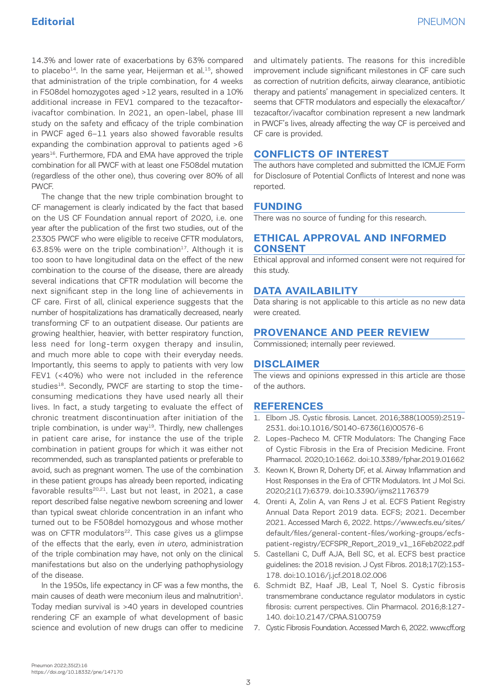14.3% and lower rate of exacerbations by 63% compared to placebo<sup>14</sup>. In the same year, Heijerman et al.<sup>15</sup>, showed that administration of the triple combination, for 4 weeks in F508del homozygotes aged >12 years, resulted in a 10% additional increase in FEV1 compared to the tezacaftorivacaftor combination. In 2021, an open-label, phase III study on the safety and efficacy of the triple combination in PWCF aged 6–11 years also showed favorable results expanding the combination approval to patients aged >6 years<sup>16</sup>. Furthermore, FDA and EMA have approved the triple combination for all PWCF with at least one F508del mutation (regardless of the other one), thus covering over 80% of all PWCF.

The change that the new triple combination brought to CF management is clearly indicated by the fact that based on the US CF Foundation annual report of 2020, i.e. one year after the publication of the first two studies, out of the 23305 PWCF who were eligible to receive CFTR modulators,  $63.85\%$  were on the triple combination<sup>17</sup>. Although it is too soon to have longitudinal data on the effect of the new combination to the course of the disease, there are already several indications that CFTR modulation will become the next significant step in the long line of achievements in CF care. First of all, clinical experience suggests that the number of hospitalizations has dramatically decreased, nearly transforming CF to an outpatient disease. Our patients are growing healthier, heavier, with better respiratory function, less need for long-term oxygen therapy and insulin, and much more able to cope with their everyday needs. Importantly, this seems to apply to patients with very low FEV1 (<40%) who were not included in the reference studies<sup>18</sup>. Secondly, PWCF are starting to stop the timeconsuming medications they have used nearly all their lives. In fact, a study targeting to evaluate the effect of chronic treatment discontinuation after initiation of the triple combination, is under way $19$ . Thirdly, new challenges in patient care arise, for instance the use of the triple combination in patient groups for which it was either not recommended, such as transplanted patients or preferable to avoid, such as pregnant women. The use of the combination in these patient groups has already been reported, indicating favorable results<sup>20,21</sup>. Last but not least, in 2021, a case report described false negative newborn screening and lower than typical sweat chloride concentration in an infant who turned out to be F508del homozygous and whose mother was on CFTR modulators<sup>22</sup>. This case gives us a glimpse of the effects that the early, even in utero, administration of the triple combination may have, not only on the clinical manifestations but also on the underlying pathophysiology of the disease.

In the 1950s, life expectancy in CF was a few months, the main causes of death were meconium ileus and malnutrition<sup>1</sup>. Today median survival is >40 years in developed countries rendering CF an example of what development of basic science and evolution of new drugs can offer to medicine and ultimately patients. The reasons for this incredible improvement include significant milestones in CF care such as correction of nutrition deficits, airway clearance, antibiotic therapy and patients' management in specialized centers. It seems that CFTR modulators and especially the elexacaftor/ tezacaftor/ivacaftor combination represent a new landmark in PWCF's lives, already affecting the way CF is perceived and CF care is provided.

# **CONFLICTS OF INTEREST**

The authors have completed and submitted the ICMJE Form for Disclosure of Potential Conflicts of Interest and none was reported.

## **FUNDING**

There was no source of funding for this research.

## **ETHICAL APPROVAL AND INFORMED CONSENT**

Ethical approval and informed consent were not required for this study.

# **DATA AVAILABILITY**

Data sharing is not applicable to this article as no new data were created.

### **PROVENANCE AND PEER REVIEW**

Commissioned; internally peer reviewed.

## **DISCLAIMER**

The views and opinions expressed in this article are those of the authors.

#### **REFERENCES**

- 1. Elborn JS. Cystic fibrosis. Lancet. 2016;388(10059):2519- 2531. doi:10.1016/S0140-6736(16)00576-6
- 2. Lopes-Pacheco M. CFTR Modulators: The Changing Face of Cystic Fibrosis in the Era of Precision Medicine. Front Pharmacol. 2020;10:1662. doi:10.3389/fphar.2019.01662
- 3. Keown K, Brown R, Doherty DF, et al. Airway Inflammation and Host Responses in the Era of CFTR Modulators. Int J Mol Sci. 2020;21(17):6379. doi:10.3390/ijms21176379
- 4. Orenti A, Zolin A, van Rens J et al. ECFS Patient Registry Annual Data Report 2019 data. ECFS; 2021. December 2021. Accessed March 6, 2022. https://www.ecfs.eu/sites/ default/files/general-content-files/working-groups/ecfspatient-registry/ECFSPR\_Report\_2019\_v1\_16Feb2022.pdf
- 5. Castellani C, Duff AJA, Bell SC, et al. ECFS best practice guidelines: the 2018 revision. J Cyst Fibros. 2018;17(2):153- 178. doi:10.1016/j.jcf.2018.02.006
- 6. Schmidt BZ, Haaf JB, Leal T, Noel S. Cystic fibrosis transmembrane conductance regulator modulators in cystic fibrosis: current perspectives. Clin Pharmacol. 2016;8:127- 140. doi:10.2147/CPAA.S100759
- 7. Cystic Fibrosis Foundation. Accessed March 6, 2022. www.cff.org